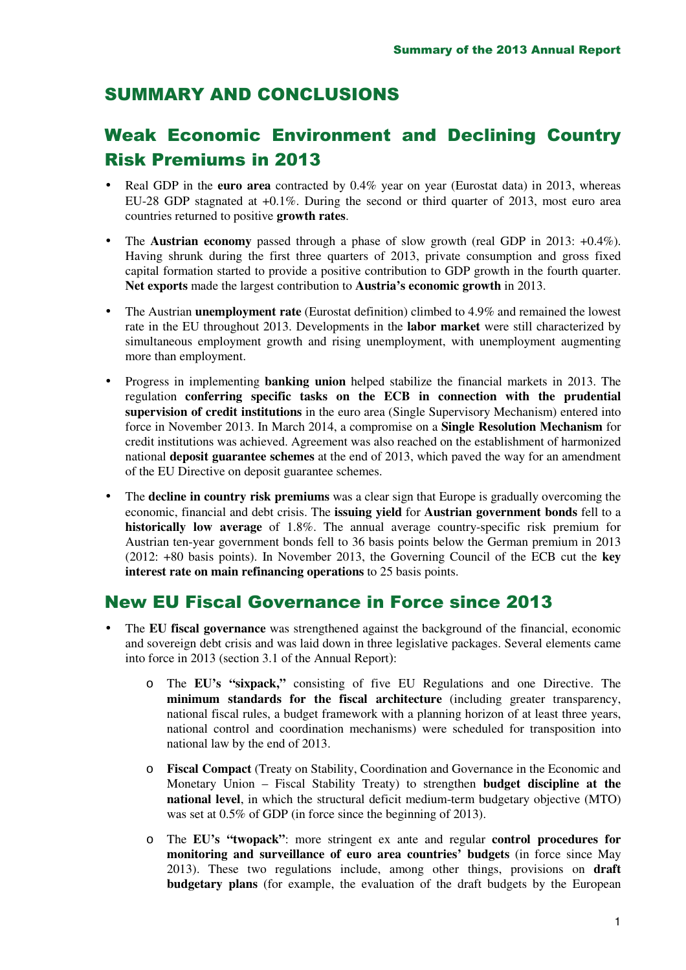## SUMMARY AND CONCLUSIONS

## Weak Economic Environment and Declining Country Risk Premiums in 2013

- Real GDP in the **euro area** contracted by 0.4% year on year (Eurostat data) in 2013, whereas EU-28 GDP stagnated at +0.1%. During the second or third quarter of 2013, most euro area countries returned to positive **growth rates**.
- The **Austrian economy** passed through a phase of slow growth (real GDP in 2013: +0.4%). Having shrunk during the first three quarters of 2013, private consumption and gross fixed capital formation started to provide a positive contribution to GDP growth in the fourth quarter. **Net exports** made the largest contribution to **Austria's economic growth** in 2013.
- The Austrian **unemployment rate** (Eurostat definition) climbed to 4.9% and remained the lowest rate in the EU throughout 2013. Developments in the **labor market** were still characterized by simultaneous employment growth and rising unemployment, with unemployment augmenting more than employment.
- Progress in implementing **banking union** helped stabilize the financial markets in 2013. The regulation **conferring specific tasks on the ECB in connection with the prudential supervision of credit institutions** in the euro area (Single Supervisory Mechanism) entered into force in November 2013. In March 2014, a compromise on a **Single Resolution Mechanism** for credit institutions was achieved. Agreement was also reached on the establishment of harmonized national **deposit guarantee schemes** at the end of 2013, which paved the way for an amendment of the EU Directive on deposit guarantee schemes.
- The **decline in country risk premiums** was a clear sign that Europe is gradually overcoming the economic, financial and debt crisis. The **issuing yield** for **Austrian government bonds** fell to a **historically low average** of 1.8%. The annual average country-specific risk premium for Austrian ten-year government bonds fell to 36 basis points below the German premium in 2013 (2012: +80 basis points). In November 2013, the Governing Council of the ECB cut the **key interest rate on main refinancing operations** to 25 basis points.

### New EU Fiscal Governance in Force since 2013

- The **EU fiscal governance** was strengthened against the background of the financial, economic and sovereign debt crisis and was laid down in three legislative packages. Several elements came into force in 2013 (section 3.1 of the Annual Report):
	- o The **EU's "sixpack,"** consisting of five EU Regulations and one Directive. The **minimum standards for the fiscal architecture** (including greater transparency, national fiscal rules, a budget framework with a planning horizon of at least three years, national control and coordination mechanisms) were scheduled for transposition into national law by the end of 2013.
	- o **Fiscal Compact** (Treaty on Stability, Coordination and Governance in the Economic and Monetary Union – Fiscal Stability Treaty) to strengthen **budget discipline at the national level**, in which the structural deficit medium-term budgetary objective (MTO) was set at 0.5% of GDP (in force since the beginning of 2013).
	- o The **EU's "twopack"**: more stringent ex ante and regular **control procedures for monitoring and surveillance of euro area countries' budgets** (in force since May 2013). These two regulations include, among other things, provisions on **draft budgetary plans** (for example, the evaluation of the draft budgets by the European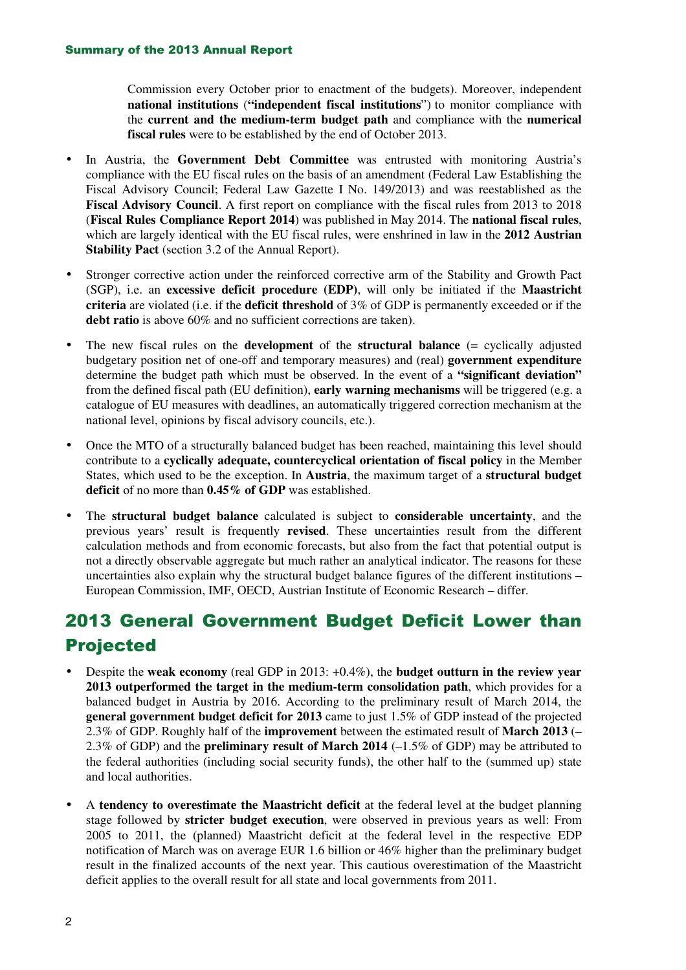Commission every October prior to enactment of the budgets). Moreover, independent **national institutions** (**"independent fiscal institutions**") to monitor compliance with the **current and the medium-term budget path** and compliance with the **numerical fiscal rules** were to be established by the end of October 2013.

- In Austria, the **Government Debt Committee** was entrusted with monitoring Austria's compliance with the EU fiscal rules on the basis of an amendment (Federal Law Establishing the Fiscal Advisory Council; Federal Law Gazette I No. 149/2013) and was reestablished as the **Fiscal Advisory Council**. A first report on compliance with the fiscal rules from 2013 to 2018 (**Fiscal Rules Compliance Report 2014**) was published in May 2014. The **national fiscal rules**, which are largely identical with the EU fiscal rules, were enshrined in law in the **2012 Austrian Stability Pact** (section 3.2 of the Annual Report).
- Stronger corrective action under the reinforced corrective arm of the Stability and Growth Pact (SGP), i.e. an **excessive deficit procedure (EDP)**, will only be initiated if the **Maastricht criteria** are violated (i.e. if the **deficit threshold** of 3% of GDP is permanently exceeded or if the **debt ratio** is above 60% and no sufficient corrections are taken).
- The new fiscal rules on the **development** of the **structural balance** (= cyclically adjusted budgetary position net of one-off and temporary measures) and (real) **government expenditure** determine the budget path which must be observed. In the event of a **"significant deviation"** from the defined fiscal path (EU definition), **early warning mechanisms** will be triggered (e.g. a catalogue of EU measures with deadlines, an automatically triggered correction mechanism at the national level, opinions by fiscal advisory councils, etc.).
- Once the MTO of a structurally balanced budget has been reached, maintaining this level should contribute to a **cyclically adequate, countercyclical orientation of fiscal policy** in the Member States, which used to be the exception. In **Austria**, the maximum target of a **structural budget deficit** of no more than **0.45% of GDP** was established.
- The **structural budget balance** calculated is subject to **considerable uncertainty**, and the previous years' result is frequently **revised**. These uncertainties result from the different calculation methods and from economic forecasts, but also from the fact that potential output is not a directly observable aggregate but much rather an analytical indicator. The reasons for these uncertainties also explain why the structural budget balance figures of the different institutions – European Commission, IMF, OECD, Austrian Institute of Economic Research – differ.

## 2013 General Government Budget Deficit Lower than Projected

- Despite the **weak economy** (real GDP in 2013: +0.4%), the **budget outturn in the review year 2013 outperformed the target in the medium-term consolidation path**, which provides for a balanced budget in Austria by 2016. According to the preliminary result of March 2014, the **general government budget deficit for 2013** came to just 1.5% of GDP instead of the projected 2.3% of GDP. Roughly half of the **improvement** between the estimated result of **March 2013** (– 2.3% of GDP) and the **preliminary result of March 2014** (–1.5% of GDP) may be attributed to the federal authorities (including social security funds), the other half to the (summed up) state and local authorities.
- A **tendency to overestimate the Maastricht deficit** at the federal level at the budget planning stage followed by **stricter budget execution**, were observed in previous years as well: From 2005 to 2011, the (planned) Maastricht deficit at the federal level in the respective EDP notification of March was on average EUR 1.6 billion or 46% higher than the preliminary budget result in the finalized accounts of the next year. This cautious overestimation of the Maastricht deficit applies to the overall result for all state and local governments from 2011.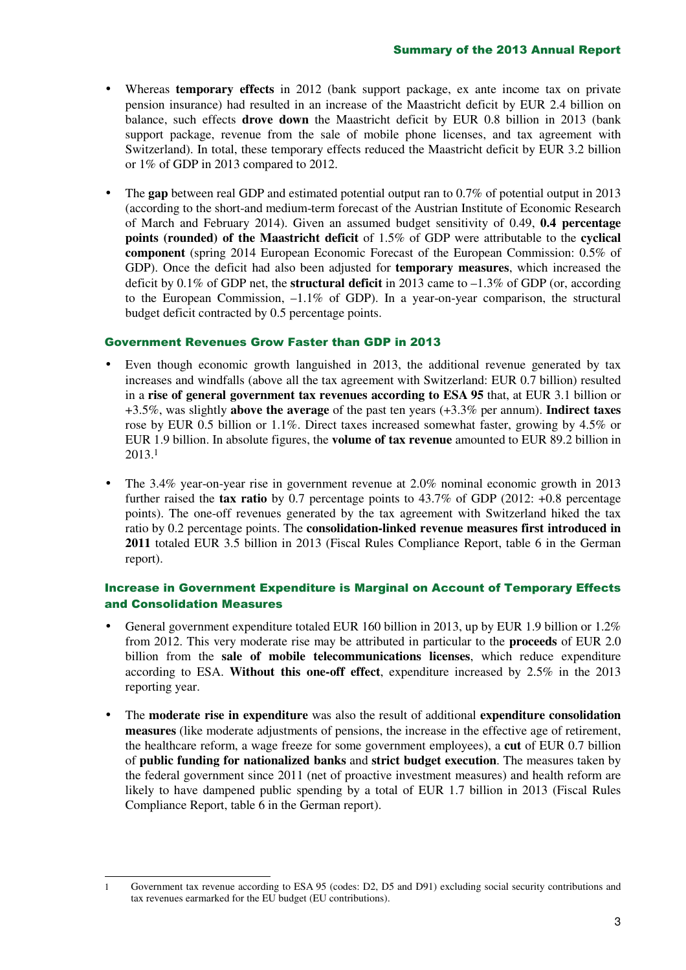- Whereas **temporary effects** in 2012 (bank support package, ex ante income tax on private pension insurance) had resulted in an increase of the Maastricht deficit by EUR 2.4 billion on balance, such effects **drove down** the Maastricht deficit by EUR 0.8 billion in 2013 (bank support package, revenue from the sale of mobile phone licenses, and tax agreement with Switzerland). In total, these temporary effects reduced the Maastricht deficit by EUR 3.2 billion or 1% of GDP in 2013 compared to 2012.
- The **gap** between real GDP and estimated potential output ran to 0.7% of potential output in 2013 (according to the short-and medium-term forecast of the Austrian Institute of Economic Research of March and February 2014). Given an assumed budget sensitivity of 0.49, **0.4 percentage points (rounded) of the Maastricht deficit** of 1.5% of GDP were attributable to the **cyclical component** (spring 2014 European Economic Forecast of the European Commission: 0.5% of GDP). Once the deficit had also been adjusted for **temporary measures**, which increased the deficit by 0.1% of GDP net, the **structural deficit** in 2013 came to –1.3% of GDP (or, according to the European Commission,  $-1.1\%$  of GDP). In a year-on-year comparison, the structural budget deficit contracted by 0.5 percentage points.

### Government Revenues Grow Faster than GDP in 2013

- Even though economic growth languished in 2013, the additional revenue generated by tax increases and windfalls (above all the tax agreement with Switzerland: EUR 0.7 billion) resulted in a **rise of general government tax revenues according to ESA 95** that, at EUR 3.1 billion or +3.5%, was slightly **above the average** of the past ten years (+3.3% per annum). **Indirect taxes** rose by EUR 0.5 billion or 1.1%. Direct taxes increased somewhat faster, growing by 4.5% or EUR 1.9 billion. In absolute figures, the **volume of tax revenue** amounted to EUR 89.2 billion in 2013.<sup>1</sup>
- The 3.4% year-on-year rise in government revenue at 2.0% nominal economic growth in 2013 further raised the **tax ratio** by 0.7 percentage points to 43.7% of GDP (2012: +0.8 percentage points). The one-off revenues generated by the tax agreement with Switzerland hiked the tax ratio by 0.2 percentage points. The **consolidation-linked revenue measures first introduced in 2011** totaled EUR 3.5 billion in 2013 (Fiscal Rules Compliance Report, table 6 in the German report).

### Increase in Government Expenditure is Marginal on Account of Temporary Effects and Consolidation Measures

- General government expenditure totaled EUR 160 billion in 2013, up by EUR 1.9 billion or 1.2% from 2012. This very moderate rise may be attributed in particular to the **proceeds** of EUR 2.0 billion from the **sale of mobile telecommunications licenses**, which reduce expenditure according to ESA. **Without this one-off effect**, expenditure increased by 2.5% in the 2013 reporting year.
- The **moderate rise in expenditure** was also the result of additional **expenditure consolidation measures** (like moderate adjustments of pensions, the increase in the effective age of retirement, the healthcare reform, a wage freeze for some government employees), a **cut** of EUR 0.7 billion of **public funding for nationalized banks** and **strict budget execution**. The measures taken by the federal government since 2011 (net of proactive investment measures) and health reform are likely to have dampened public spending by a total of EUR 1.7 billion in 2013 (Fiscal Rules Compliance Report, table 6 in the German report).

 $\overline{a}$ 

<sup>1</sup> Government tax revenue according to ESA 95 (codes: D2, D5 and D91) excluding social security contributions and tax revenues earmarked for the EU budget (EU contributions).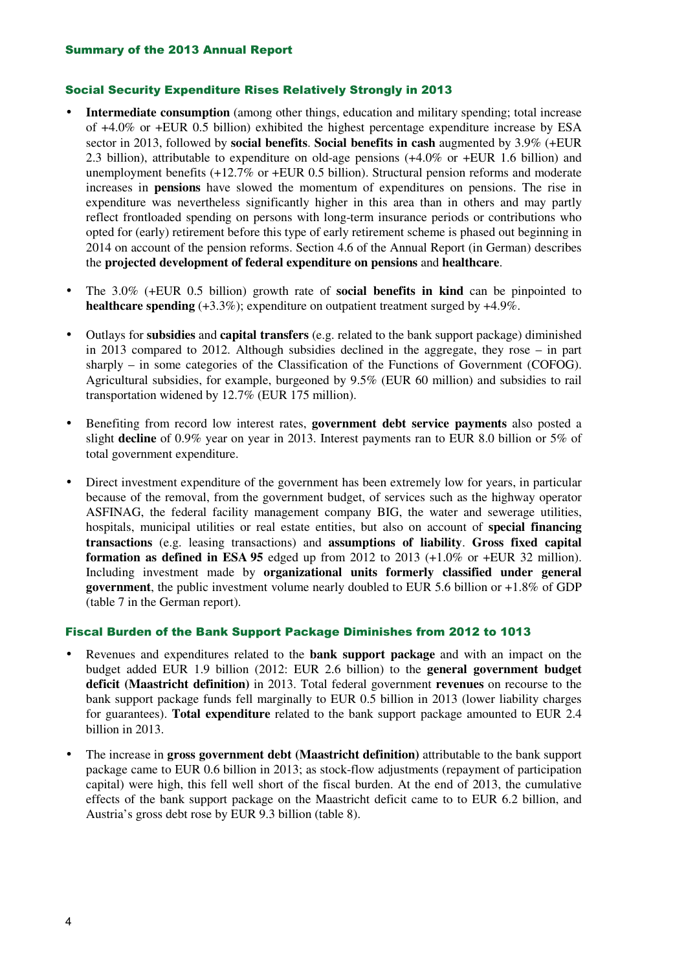### Social Security Expenditure Rises Relatively Strongly in 2013

- **Intermediate consumption** (among other things, education and military spending; total increase of +4.0% or +EUR 0.5 billion) exhibited the highest percentage expenditure increase by ESA sector in 2013, followed by **social benefits**. **Social benefits in cash** augmented by 3.9% (+EUR 2.3 billion), attributable to expenditure on old-age pensions (+4.0% or +EUR 1.6 billion) and unemployment benefits (+12.7% or +EUR 0.5 billion). Structural pension reforms and moderate increases in **pensions** have slowed the momentum of expenditures on pensions. The rise in expenditure was nevertheless significantly higher in this area than in others and may partly reflect frontloaded spending on persons with long-term insurance periods or contributions who opted for (early) retirement before this type of early retirement scheme is phased out beginning in 2014 on account of the pension reforms. Section 4.6 of the Annual Report (in German) describes the **projected development of federal expenditure on pensions** and **healthcare**.
- The 3.0% (+EUR 0.5 billion) growth rate of **social benefits in kind** can be pinpointed to **healthcare spending** (+3.3%); expenditure on outpatient treatment surged by +4.9%.
- Outlays for **subsidies** and **capital transfers** (e.g. related to the bank support package) diminished in 2013 compared to 2012. Although subsidies declined in the aggregate, they rose – in part sharply – in some categories of the Classification of the Functions of Government (COFOG). Agricultural subsidies, for example, burgeoned by 9.5% (EUR 60 million) and subsidies to rail transportation widened by 12.7% (EUR 175 million).
- Benefiting from record low interest rates, **government debt service payments** also posted a slight **decline** of 0.9% year on year in 2013. Interest payments ran to EUR 8.0 billion or 5% of total government expenditure.
- Direct investment expenditure of the government has been extremely low for years, in particular because of the removal, from the government budget, of services such as the highway operator ASFINAG, the federal facility management company BIG, the water and sewerage utilities, hospitals, municipal utilities or real estate entities, but also on account of **special financing transactions** (e.g. leasing transactions) and **assumptions of liability**. **Gross fixed capital formation as defined in ESA 95** edged up from 2012 to 2013 (+1.0% or +EUR 32 million). Including investment made by **organizational units formerly classified under general government**, the public investment volume nearly doubled to EUR 5.6 billion or +1.8% of GDP (table 7 in the German report).

### Fiscal Burden of the Bank Support Package Diminishes from 2012 to 1013

- Revenues and expenditures related to the **bank support package** and with an impact on the budget added EUR 1.9 billion (2012: EUR 2.6 billion) to the **general government budget deficit (Maastricht definition)** in 2013. Total federal government **revenues** on recourse to the bank support package funds fell marginally to EUR 0.5 billion in 2013 (lower liability charges for guarantees). **Total expenditure** related to the bank support package amounted to EUR 2.4 billion in 2013.
- The increase in **gross government debt (Maastricht definition)** attributable to the bank support package came to EUR 0.6 billion in 2013; as stock-flow adjustments (repayment of participation capital) were high, this fell well short of the fiscal burden. At the end of 2013, the cumulative effects of the bank support package on the Maastricht deficit came to to EUR 6.2 billion, and Austria's gross debt rose by EUR 9.3 billion (table 8).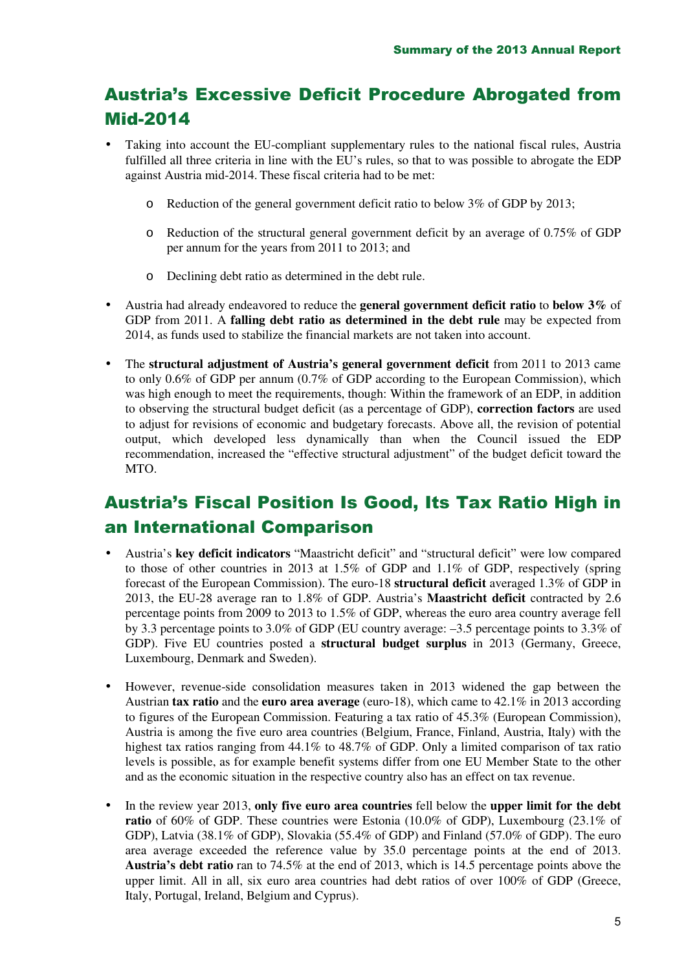# Austria's Excessive Deficit Procedure Abrogated from Mid-2014

- Taking into account the EU-compliant supplementary rules to the national fiscal rules, Austria fulfilled all three criteria in line with the EU's rules, so that to was possible to abrogate the EDP against Austria mid-2014. These fiscal criteria had to be met:
	- o Reduction of the general government deficit ratio to below 3% of GDP by 2013;
	- o Reduction of the structural general government deficit by an average of 0.75% of GDP per annum for the years from 2011 to 2013; and
	- o Declining debt ratio as determined in the debt rule.
- Austria had already endeavored to reduce the **general government deficit ratio** to **below 3%** of GDP from 2011. A **falling debt ratio as determined in the debt rule** may be expected from 2014, as funds used to stabilize the financial markets are not taken into account.
- The **structural adjustment of Austria's general government deficit** from 2011 to 2013 came to only 0.6% of GDP per annum (0.7% of GDP according to the European Commission), which was high enough to meet the requirements, though: Within the framework of an EDP, in addition to observing the structural budget deficit (as a percentage of GDP), **correction factors** are used to adjust for revisions of economic and budgetary forecasts. Above all, the revision of potential output, which developed less dynamically than when the Council issued the EDP recommendation, increased the "effective structural adjustment" of the budget deficit toward the MTO.

## Austria's Fiscal Position Is Good, Its Tax Ratio High in an International Comparison

- Austria's **key deficit indicators** "Maastricht deficit" and "structural deficit" were low compared to those of other countries in 2013 at 1.5% of GDP and 1.1% of GDP, respectively (spring forecast of the European Commission). The euro-18 **structural deficit** averaged 1.3% of GDP in 2013, the EU-28 average ran to 1.8% of GDP. Austria's **Maastricht deficit** contracted by 2.6 percentage points from 2009 to 2013 to 1.5% of GDP, whereas the euro area country average fell by 3.3 percentage points to 3.0% of GDP (EU country average: –3.5 percentage points to 3.3% of GDP). Five EU countries posted a **structural budget surplus** in 2013 (Germany, Greece, Luxembourg, Denmark and Sweden).
- However, revenue-side consolidation measures taken in 2013 widened the gap between the Austrian **tax ratio** and the **euro area average** (euro-18), which came to 42.1% in 2013 according to figures of the European Commission. Featuring a tax ratio of 45.3% (European Commission), Austria is among the five euro area countries (Belgium, France, Finland, Austria, Italy) with the highest tax ratios ranging from 44.1% to 48.7% of GDP. Only a limited comparison of tax ratio levels is possible, as for example benefit systems differ from one EU Member State to the other and as the economic situation in the respective country also has an effect on tax revenue.
- In the review year 2013, **only five euro area countries** fell below the **upper limit for the debt ratio** of 60% of GDP. These countries were Estonia (10.0% of GDP), Luxembourg (23.1% of GDP), Latvia (38.1% of GDP), Slovakia (55.4% of GDP) and Finland (57.0% of GDP). The euro area average exceeded the reference value by 35.0 percentage points at the end of 2013. **Austria's debt ratio** ran to 74.5% at the end of 2013, which is 14.5 percentage points above the upper limit. All in all, six euro area countries had debt ratios of over 100% of GDP (Greece, Italy, Portugal, Ireland, Belgium and Cyprus).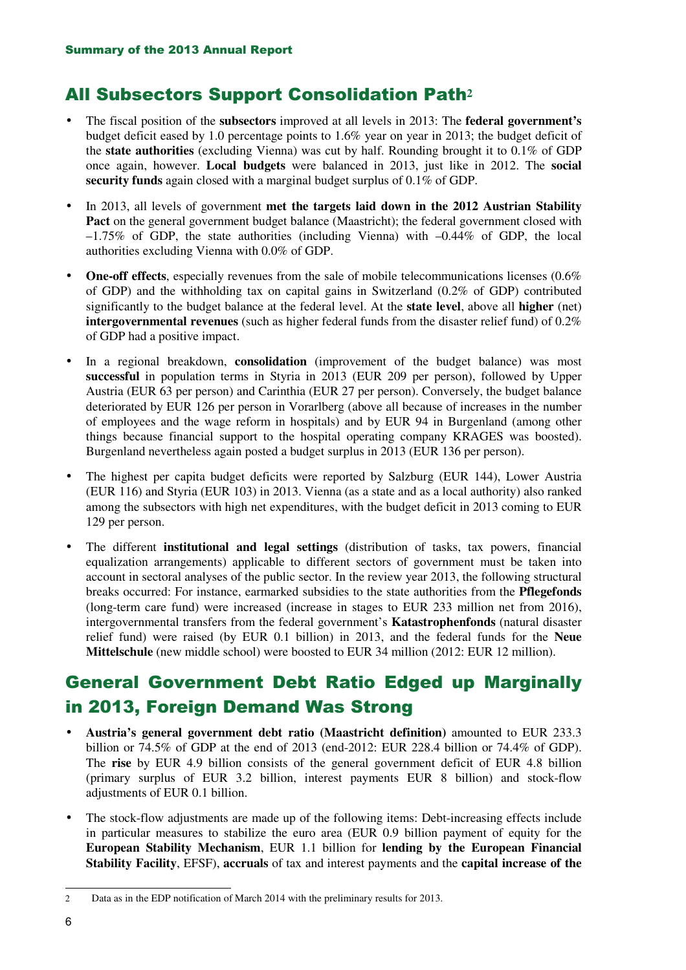## All Subsectors Support Consolidation Path**<sup>2</sup>**

- The fiscal position of the **subsectors** improved at all levels in 2013: The **federal government's** budget deficit eased by 1.0 percentage points to 1.6% year on year in 2013; the budget deficit of the **state authorities** (excluding Vienna) was cut by half. Rounding brought it to 0.1% of GDP once again, however. **Local budgets** were balanced in 2013, just like in 2012. The **social security funds** again closed with a marginal budget surplus of 0.1% of GDP.
- In 2013, all levels of government **met the targets laid down in the 2012 Austrian Stability**  Pact on the general government budget balance (Maastricht); the federal government closed with –1.75% of GDP, the state authorities (including Vienna) with –0.44% of GDP, the local authorities excluding Vienna with 0.0% of GDP.
- **One-off effects**, especially revenues from the sale of mobile telecommunications licenses (0.6%) of GDP) and the withholding tax on capital gains in Switzerland (0.2% of GDP) contributed significantly to the budget balance at the federal level. At the **state level**, above all **higher** (net) **intergovernmental revenues** (such as higher federal funds from the disaster relief fund) of 0.2% of GDP had a positive impact.
- In a regional breakdown, **consolidation** (improvement of the budget balance) was most **successful** in population terms in Styria in 2013 (EUR 209 per person), followed by Upper Austria (EUR 63 per person) and Carinthia (EUR 27 per person). Conversely, the budget balance deteriorated by EUR 126 per person in Vorarlberg (above all because of increases in the number of employees and the wage reform in hospitals) and by EUR 94 in Burgenland (among other things because financial support to the hospital operating company KRAGES was boosted). Burgenland nevertheless again posted a budget surplus in 2013 (EUR 136 per person).
- The highest per capita budget deficits were reported by Salzburg (EUR 144), Lower Austria (EUR 116) and Styria (EUR 103) in 2013. Vienna (as a state and as a local authority) also ranked among the subsectors with high net expenditures, with the budget deficit in 2013 coming to EUR 129 per person.
- The different **institutional and legal settings** (distribution of tasks, tax powers, financial equalization arrangements) applicable to different sectors of government must be taken into account in sectoral analyses of the public sector. In the review year 2013, the following structural breaks occurred: For instance, earmarked subsidies to the state authorities from the **Pflegefonds** (long-term care fund) were increased (increase in stages to EUR 233 million net from 2016), intergovernmental transfers from the federal government's **Katastrophenfonds** (natural disaster relief fund) were raised (by EUR 0.1 billion) in 2013, and the federal funds for the **Neue Mittelschule** (new middle school) were boosted to EUR 34 million (2012: EUR 12 million).

## General Government Debt Ratio Edged up Marginally in 2013, Foreign Demand Was Strong

- **Austria's general government debt ratio (Maastricht definition)** amounted to EUR 233.3 billion or 74.5% of GDP at the end of 2013 (end-2012: EUR 228.4 billion or 74.4% of GDP). The **rise** by EUR 4.9 billion consists of the general government deficit of EUR 4.8 billion (primary surplus of EUR 3.2 billion, interest payments EUR 8 billion) and stock-flow adjustments of EUR 0.1 billion.
- The stock-flow adjustments are made up of the following items: Debt-increasing effects include in particular measures to stabilize the euro area (EUR 0.9 billion payment of equity for the **European Stability Mechanism**, EUR 1.1 billion for **lending by the European Financial Stability Facility**, EFSF), **accruals** of tax and interest payments and the **capital increase of the**

<sup>2</sup> Data as in the EDP notification of March 2014 with the preliminary results for 2013.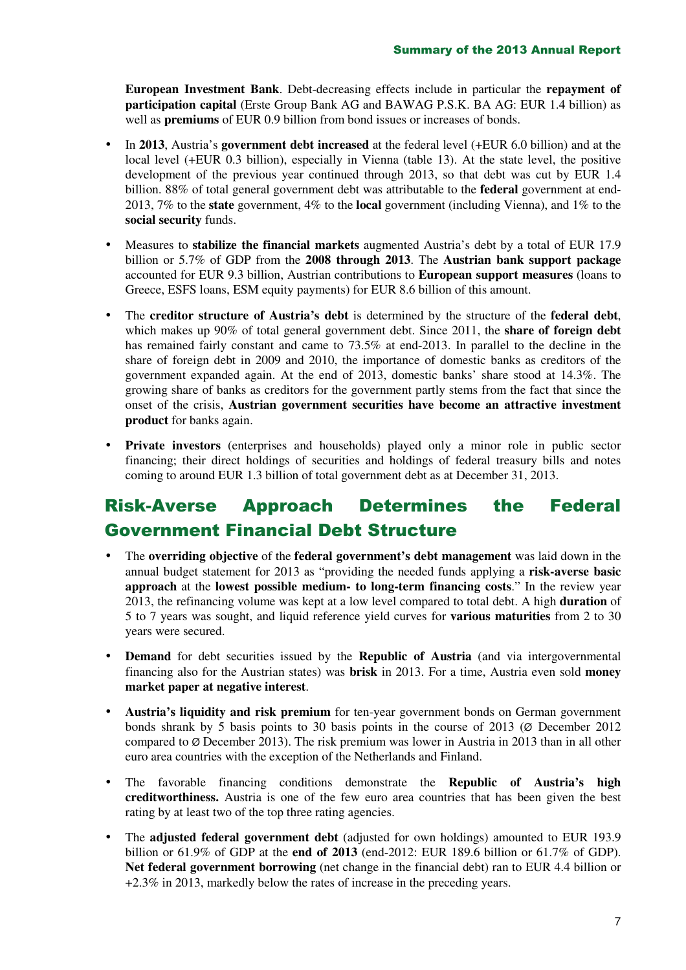**European Investment Bank**. Debt-decreasing effects include in particular the **repayment of participation capital** (Erste Group Bank AG and BAWAG P.S.K. BA AG: EUR 1.4 billion) as well as **premiums** of EUR 0.9 billion from bond issues or increases of bonds.

- In **2013**, Austria's **government debt increased** at the federal level (+EUR 6.0 billion) and at the local level (+EUR 0.3 billion), especially in Vienna (table 13). At the state level, the positive development of the previous year continued through 2013, so that debt was cut by EUR 1.4 billion. 88% of total general government debt was attributable to the **federal** government at end-2013, 7% to the **state** government, 4% to the **local** government (including Vienna), and 1% to the **social security** funds.
- Measures to **stabilize the financial markets** augmented Austria's debt by a total of EUR 17.9 billion or 5.7% of GDP from the **2008 through 2013**. The **Austrian bank support package** accounted for EUR 9.3 billion, Austrian contributions to **European support measures** (loans to Greece, ESFS loans, ESM equity payments) for EUR 8.6 billion of this amount.
- The **creditor structure of Austria's debt** is determined by the structure of the **federal debt**, which makes up 90% of total general government debt. Since 2011, the **share of foreign debt** has remained fairly constant and came to 73.5% at end-2013. In parallel to the decline in the share of foreign debt in 2009 and 2010, the importance of domestic banks as creditors of the government expanded again. At the end of 2013, domestic banks' share stood at 14.3%. The growing share of banks as creditors for the government partly stems from the fact that since the onset of the crisis, **Austrian government securities have become an attractive investment product** for banks again.
- **Private investors** (enterprises and households) played only a minor role in public sector financing; their direct holdings of securities and holdings of federal treasury bills and notes coming to around EUR 1.3 billion of total government debt as at December 31, 2013.

## Risk-Averse Approach Determines the Federal Government Financial Debt Structure

- The **overriding objective** of the **federal government's debt management** was laid down in the annual budget statement for 2013 as "providing the needed funds applying a **risk-averse basic approach** at the **lowest possible medium- to long-term financing costs**." In the review year 2013, the refinancing volume was kept at a low level compared to total debt. A high **duration** of 5 to 7 years was sought, and liquid reference yield curves for **various maturities** from 2 to 30 years were secured.
- **Demand** for debt securities issued by the **Republic of Austria** (and via intergovernmental financing also for the Austrian states) was **brisk** in 2013. For a time, Austria even sold **money market paper at negative interest**.
- **Austria's liquidity and risk premium** for ten-year government bonds on German government bonds shrank by 5 basis points to 30 basis points in the course of 2013 (Ø December 2012 compared to  $\varnothing$  December 2013). The risk premium was lower in Austria in 2013 than in all other euro area countries with the exception of the Netherlands and Finland.
- The favorable financing conditions demonstrate the **Republic of Austria's high creditworthiness.** Austria is one of the few euro area countries that has been given the best rating by at least two of the top three rating agencies.
- The **adjusted federal government debt** (adjusted for own holdings) amounted to EUR 193.9 billion or 61.9% of GDP at the **end of 2013** (end-2012: EUR 189.6 billion or 61.7% of GDP). **Net federal government borrowing** (net change in the financial debt) ran to EUR 4.4 billion or +2.3% in 2013, markedly below the rates of increase in the preceding years.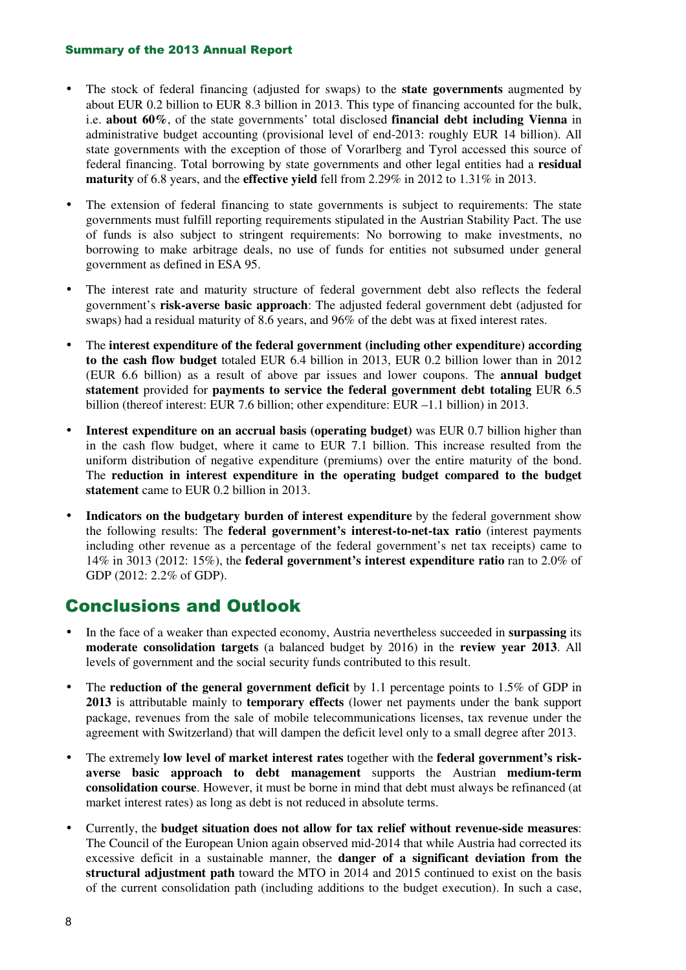#### Summary of the 2013 Annual Report

- The stock of federal financing (adjusted for swaps) to the **state governments** augmented by about EUR 0.2 billion to EUR 8.3 billion in 2013. This type of financing accounted for the bulk, i.e. **about 60%**, of the state governments' total disclosed **financial debt including Vienna** in administrative budget accounting (provisional level of end-2013: roughly EUR 14 billion). All state governments with the exception of those of Vorarlberg and Tyrol accessed this source of federal financing. Total borrowing by state governments and other legal entities had a **residual maturity** of 6.8 years, and the **effective yield** fell from 2.29% in 2012 to 1.31% in 2013.
- The extension of federal financing to state governments is subject to requirements: The state governments must fulfill reporting requirements stipulated in the Austrian Stability Pact. The use of funds is also subject to stringent requirements: No borrowing to make investments, no borrowing to make arbitrage deals, no use of funds for entities not subsumed under general government as defined in ESA 95.
- The interest rate and maturity structure of federal government debt also reflects the federal government's **risk-averse basic approach**: The adjusted federal government debt (adjusted for swaps) had a residual maturity of 8.6 years, and 96% of the debt was at fixed interest rates.
- The **interest expenditure of the federal government (including other expenditure) according to the cash flow budget** totaled EUR 6.4 billion in 2013, EUR 0.2 billion lower than in 2012 (EUR 6.6 billion) as a result of above par issues and lower coupons. The **annual budget statement** provided for **payments to service the federal government debt totaling** EUR 6.5 billion (thereof interest: EUR 7.6 billion; other expenditure: EUR –1.1 billion) in 2013.
- **Interest expenditure on an accrual basis (operating budget)** was EUR 0.7 billion higher than in the cash flow budget, where it came to EUR 7.1 billion. This increase resulted from the uniform distribution of negative expenditure (premiums) over the entire maturity of the bond. The **reduction in interest expenditure in the operating budget compared to the budget statement** came to EUR 0.2 billion in 2013.
- **Indicators on the budgetary burden of interest expenditure** by the federal government show the following results: The **federal government's interest-to-net-tax ratio** (interest payments including other revenue as a percentage of the federal government's net tax receipts) came to 14% in 3013 (2012: 15%), the **federal government's interest expenditure ratio** ran to 2.0% of GDP (2012: 2.2% of GDP).

## Conclusions and Outlook

- In the face of a weaker than expected economy, Austria nevertheless succeeded in **surpassing** its **moderate consolidation targets** (a balanced budget by 2016) in the **review year 2013**. All levels of government and the social security funds contributed to this result.
- The **reduction of the general government deficit** by 1.1 percentage points to 1.5% of GDP in **2013** is attributable mainly to **temporary effects** (lower net payments under the bank support package, revenues from the sale of mobile telecommunications licenses, tax revenue under the agreement with Switzerland) that will dampen the deficit level only to a small degree after 2013.
- The extremely **low level of market interest rates** together with the **federal government's riskaverse basic approach to debt management** supports the Austrian **medium-term consolidation course**. However, it must be borne in mind that debt must always be refinanced (at market interest rates) as long as debt is not reduced in absolute terms.
- Currently, the **budget situation does not allow for tax relief without revenue-side measures**: The Council of the European Union again observed mid-2014 that while Austria had corrected its excessive deficit in a sustainable manner, the **danger of a significant deviation from the structural adjustment path** toward the MTO in 2014 and 2015 continued to exist on the basis of the current consolidation path (including additions to the budget execution). In such a case,